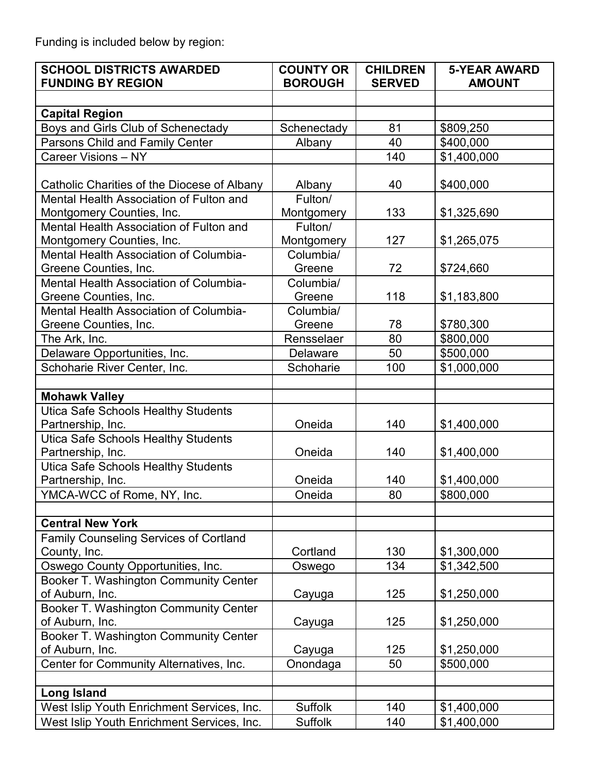Funding is included below by region:

| <b>SCHOOL DISTRICTS AWARDED</b><br><b>FUNDING BY REGION</b>         | <b>COUNTY OR</b><br><b>BOROUGH</b> | <b>CHILDREN</b><br><b>SERVED</b> | <b>5-YEAR AWARD</b><br><b>AMOUNT</b> |
|---------------------------------------------------------------------|------------------------------------|----------------------------------|--------------------------------------|
|                                                                     |                                    |                                  |                                      |
| <b>Capital Region</b>                                               |                                    |                                  |                                      |
| Boys and Girls Club of Schenectady                                  | Schenectady                        | 81                               | \$809,250                            |
| Parsons Child and Family Center                                     | Albany                             | 40                               | \$400,000                            |
| Career Visions - NY                                                 |                                    | 140                              | \$1,400,000                          |
|                                                                     |                                    |                                  |                                      |
| Catholic Charities of the Diocese of Albany                         | Albany                             | 40                               | \$400,000                            |
| Mental Health Association of Fulton and                             | Fulton/                            |                                  |                                      |
| Montgomery Counties, Inc.                                           | Montgomery                         | 133                              | \$1,325,690                          |
| Mental Health Association of Fulton and                             | Fulton/                            |                                  |                                      |
| Montgomery Counties, Inc.<br>Mental Health Association of Columbia- | Montgomery<br>Columbia/            | 127                              | \$1,265,075                          |
| Greene Counties, Inc.                                               | Greene                             | 72                               | \$724,660                            |
| Mental Health Association of Columbia-                              | Columbia/                          |                                  |                                      |
| Greene Counties, Inc.                                               | Greene                             | 118                              | \$1,183,800                          |
| Mental Health Association of Columbia-                              | Columbia/                          |                                  |                                      |
| Greene Counties, Inc.                                               | Greene                             | 78                               | \$780,300                            |
| The Ark, Inc.                                                       | Rensselaer                         | 80                               | \$800,000                            |
| Delaware Opportunities, Inc.                                        | Delaware                           | 50                               | \$500,000                            |
| Schoharie River Center, Inc.                                        | Schoharie                          | 100                              | \$1,000,000                          |
|                                                                     |                                    |                                  |                                      |
| <b>Mohawk Valley</b>                                                |                                    |                                  |                                      |
| Utica Safe Schools Healthy Students                                 |                                    |                                  |                                      |
| Partnership, Inc.                                                   | Oneida                             | 140                              | \$1,400,000                          |
| <b>Utica Safe Schools Healthy Students</b>                          |                                    |                                  |                                      |
| Partnership, Inc.                                                   | Oneida                             | 140                              | \$1,400,000                          |
| <b>Utica Safe Schools Healthy Students</b>                          |                                    |                                  |                                      |
| Partnership, Inc.                                                   | Oneida                             | 140                              | \$1,400,000                          |
| YMCA-WCC of Rome, NY, Inc.                                          | Oneida                             | 80                               | \$800,000                            |
|                                                                     |                                    |                                  |                                      |
| <b>Central New York</b>                                             |                                    |                                  |                                      |
| Family Counseling Services of Cortland                              |                                    |                                  |                                      |
| County, Inc.                                                        | Cortland                           | 130                              | \$1,300,000                          |
| Oswego County Opportunities, Inc.                                   | Oswego                             | 134                              | \$1,342,500                          |
| Booker T. Washington Community Center<br>of Auburn, Inc.            | Cayuga                             | 125                              | \$1,250,000                          |
| Booker T. Washington Community Center                               |                                    |                                  |                                      |
| of Auburn, Inc.                                                     | Cayuga                             | 125                              | \$1,250,000                          |
| Booker T. Washington Community Center                               |                                    |                                  |                                      |
| of Auburn, Inc.                                                     | Cayuga                             | 125                              | \$1,250,000                          |
| Center for Community Alternatives, Inc.                             | Onondaga                           | 50                               | \$500,000                            |
|                                                                     |                                    |                                  |                                      |
| <b>Long Island</b>                                                  |                                    |                                  |                                      |
| West Islip Youth Enrichment Services, Inc.                          | <b>Suffolk</b>                     | 140                              | \$1,400,000                          |
| West Islip Youth Enrichment Services, Inc.                          | <b>Suffolk</b>                     | 140                              | \$1,400,000                          |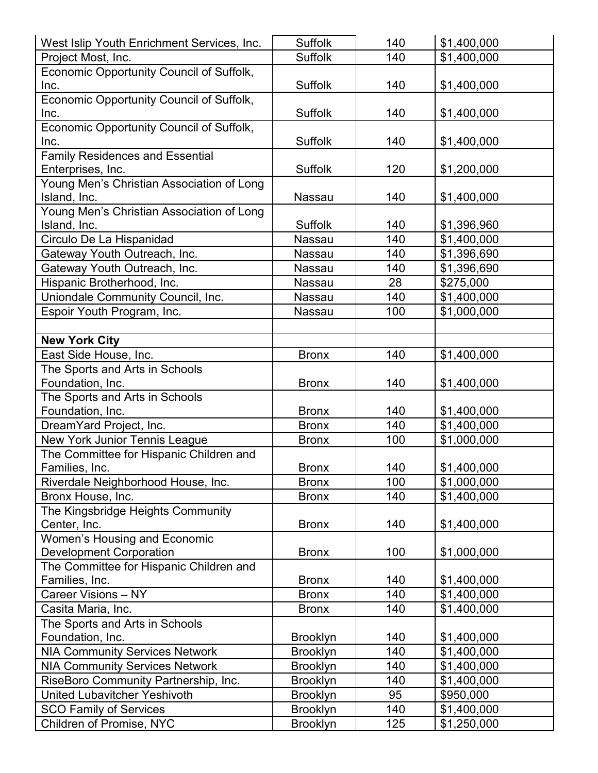| West Islip Youth Enrichment Services, Inc. | <b>Suffolk</b>  | 140 | \$1,400,000 |
|--------------------------------------------|-----------------|-----|-------------|
| Project Most, Inc.                         | <b>Suffolk</b>  | 140 | \$1,400,000 |
| Economic Opportunity Council of Suffolk,   |                 |     |             |
| Inc.                                       | <b>Suffolk</b>  | 140 | \$1,400,000 |
| Economic Opportunity Council of Suffolk,   |                 |     |             |
| Inc.                                       | <b>Suffolk</b>  | 140 | \$1,400,000 |
| Economic Opportunity Council of Suffolk,   |                 |     |             |
| Inc.                                       | Suffolk         | 140 | \$1,400,000 |
| <b>Family Residences and Essential</b>     |                 |     |             |
| Enterprises, Inc.                          | <b>Suffolk</b>  | 120 | \$1,200,000 |
| Young Men's Christian Association of Long  |                 |     |             |
| Island, Inc.                               | Nassau          | 140 | \$1,400,000 |
| Young Men's Christian Association of Long  |                 |     |             |
| Island, Inc.                               | <b>Suffolk</b>  | 140 | \$1,396,960 |
| Circulo De La Hispanidad                   | Nassau          | 140 | \$1,400,000 |
| Gateway Youth Outreach, Inc.               | Nassau          | 140 | \$1,396,690 |
| Gateway Youth Outreach, Inc.               | Nassau          | 140 | \$1,396,690 |
| Hispanic Brotherhood, Inc.                 | Nassau          | 28  | \$275,000   |
| Uniondale Community Council, Inc.          | Nassau          | 140 | \$1,400,000 |
| Espoir Youth Program, Inc.                 | Nassau          | 100 | \$1,000,000 |
|                                            |                 |     |             |
| <b>New York City</b>                       |                 |     |             |
| East Side House, Inc.                      | <b>Bronx</b>    | 140 | \$1,400,000 |
| The Sports and Arts in Schools             |                 |     |             |
| Foundation, Inc.                           | <b>Bronx</b>    | 140 | \$1,400,000 |
| The Sports and Arts in Schools             |                 |     |             |
| Foundation, Inc.                           | <b>Bronx</b>    | 140 | \$1,400,000 |
| DreamYard Project, Inc.                    | <b>Bronx</b>    | 140 | \$1,400,000 |
| New York Junior Tennis League              | <b>Bronx</b>    | 100 | \$1,000,000 |
| The Committee for Hispanic Children and    |                 |     |             |
| Families, Inc.                             | <b>Bronx</b>    | 140 | \$1,400,000 |
| Riverdale Neighborhood House, Inc.         | <b>Bronx</b>    | 100 | \$1,000,000 |
| Bronx House, Inc.                          | <b>Bronx</b>    | 140 | \$1,400,000 |
| The Kingsbridge Heights Community          |                 |     |             |
| Center, Inc.                               | <b>Bronx</b>    | 140 | \$1,400,000 |
| Women's Housing and Economic               |                 |     |             |
| <b>Development Corporation</b>             | <b>Bronx</b>    | 100 | \$1,000,000 |
| The Committee for Hispanic Children and    |                 |     |             |
| Families, Inc.                             | <b>Bronx</b>    | 140 | \$1,400,000 |
| Career Visions - NY                        | <b>Bronx</b>    | 140 | \$1,400,000 |
| Casita Maria, Inc.                         | <b>Bronx</b>    | 140 | \$1,400,000 |
| The Sports and Arts in Schools             |                 |     |             |
| Foundation, Inc.                           | <b>Brooklyn</b> | 140 | \$1,400,000 |
| <b>NIA Community Services Network</b>      | <b>Brooklyn</b> | 140 | \$1,400,000 |
| <b>NIA Community Services Network</b>      | <b>Brooklyn</b> | 140 | \$1,400,000 |
| RiseBoro Community Partnership, Inc.       | <b>Brooklyn</b> | 140 | \$1,400,000 |
| <b>United Lubavitcher Yeshivoth</b>        | <b>Brooklyn</b> | 95  | \$950,000   |
| <b>SCO Family of Services</b>              | <b>Brooklyn</b> | 140 | \$1,400,000 |
| Children of Promise, NYC                   | <b>Brooklyn</b> | 125 | \$1,250,000 |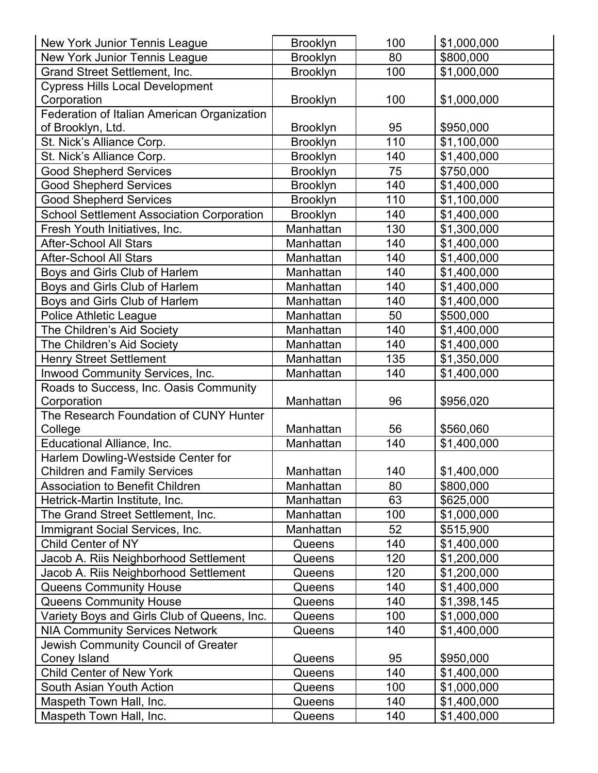| New York Junior Tennis League                    | <b>Brooklyn</b> | 100 | \$1,000,000 |
|--------------------------------------------------|-----------------|-----|-------------|
| New York Junior Tennis League                    | <b>Brooklyn</b> | 80  | \$800,000   |
| Grand Street Settlement, Inc.                    | <b>Brooklyn</b> | 100 | \$1,000,000 |
| <b>Cypress Hills Local Development</b>           |                 |     |             |
| Corporation                                      | <b>Brooklyn</b> | 100 | \$1,000,000 |
| Federation of Italian American Organization      |                 |     |             |
| of Brooklyn, Ltd.                                | <b>Brooklyn</b> | 95  | \$950,000   |
| St. Nick's Alliance Corp.                        | <b>Brooklyn</b> | 110 | \$1,100,000 |
| St. Nick's Alliance Corp.                        | <b>Brooklyn</b> | 140 | \$1,400,000 |
| <b>Good Shepherd Services</b>                    | <b>Brooklyn</b> | 75  | \$750,000   |
| <b>Good Shepherd Services</b>                    | <b>Brooklyn</b> | 140 | \$1,400,000 |
| <b>Good Shepherd Services</b>                    | <b>Brooklyn</b> | 110 | \$1,100,000 |
| <b>School Settlement Association Corporation</b> | <b>Brooklyn</b> | 140 | \$1,400,000 |
| Fresh Youth Initiatives, Inc.                    | Manhattan       | 130 | \$1,300,000 |
| <b>After-School All Stars</b>                    | Manhattan       | 140 | \$1,400,000 |
| <b>After-School All Stars</b>                    | Manhattan       | 140 | \$1,400,000 |
| Boys and Girls Club of Harlem                    | Manhattan       | 140 | \$1,400,000 |
| Boys and Girls Club of Harlem                    | Manhattan       | 140 | \$1,400,000 |
| Boys and Girls Club of Harlem                    | Manhattan       | 140 | \$1,400,000 |
| <b>Police Athletic League</b>                    | Manhattan       | 50  | \$500,000   |
| The Children's Aid Society                       | Manhattan       | 140 | \$1,400,000 |
| The Children's Aid Society                       | Manhattan       | 140 | \$1,400,000 |
| <b>Henry Street Settlement</b>                   | Manhattan       | 135 | \$1,350,000 |
| Inwood Community Services, Inc.                  | Manhattan       | 140 | \$1,400,000 |
| Roads to Success, Inc. Oasis Community           |                 |     |             |
| Corporation                                      | Manhattan       | 96  | \$956,020   |
| The Research Foundation of CUNY Hunter           |                 |     |             |
| College                                          | Manhattan       | 56  | \$560,060   |
| Educational Alliance, Inc.                       | Manhattan       | 140 | \$1,400,000 |
| Harlem Dowling-Westside Center for               |                 |     |             |
| <b>Children and Family Services</b>              | Manhattan       | 140 | \$1,400,000 |
| <b>Association to Benefit Children</b>           | Manhattan       | 80  | \$800,000   |
| Hetrick-Martin Institute, Inc.                   | Manhattan       | 63  | \$625,000   |
| The Grand Street Settlement, Inc.                | Manhattan       | 100 | \$1,000,000 |
| Immigrant Social Services, Inc.                  | Manhattan       | 52  | \$515,900   |
| Child Center of NY                               | Queens          | 140 | \$1,400,000 |
| Jacob A. Riis Neighborhood Settlement            | Queens          | 120 | \$1,200,000 |
| Jacob A. Riis Neighborhood Settlement            | Queens          | 120 | \$1,200,000 |
| <b>Queens Community House</b>                    | Queens          | 140 | \$1,400,000 |
| Queens Community House                           | Queens          | 140 | \$1,398,145 |
| Variety Boys and Girls Club of Queens, Inc.      | Queens          | 100 | \$1,000,000 |
| <b>NIA Community Services Network</b>            | Queens          | 140 | \$1,400,000 |
| Jewish Community Council of Greater              |                 |     |             |
| Coney Island                                     | Queens          | 95  | \$950,000   |
| <b>Child Center of New York</b>                  | Queens          | 140 | \$1,400,000 |
| South Asian Youth Action                         | Queens          | 100 | \$1,000,000 |
| Maspeth Town Hall, Inc.                          | Queens          | 140 | \$1,400,000 |
| Maspeth Town Hall, Inc.                          | Queens          | 140 | \$1,400,000 |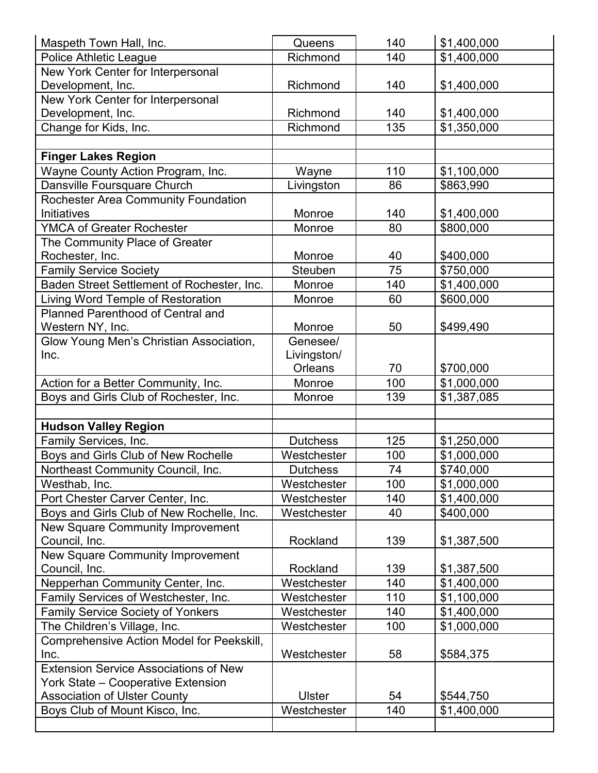| Maspeth Town Hall, Inc.                      | Queens          | 140             | \$1,400,000 |
|----------------------------------------------|-----------------|-----------------|-------------|
| <b>Police Athletic League</b>                | Richmond        | 140             | \$1,400,000 |
| New York Center for Interpersonal            |                 |                 |             |
| Development, Inc.                            | Richmond        | 140             | \$1,400,000 |
| New York Center for Interpersonal            |                 |                 |             |
| Development, Inc.                            | Richmond        | 140             | \$1,400,000 |
| Change for Kids, Inc.                        | Richmond        | 135             | \$1,350,000 |
|                                              |                 |                 |             |
| <b>Finger Lakes Region</b>                   |                 |                 |             |
| Wayne County Action Program, Inc.            | Wayne           | 110             | \$1,100,000 |
| Dansville Foursquare Church                  | Livingston      | 86              | \$863,990   |
| Rochester Area Community Foundation          |                 |                 |             |
| Initiatives                                  | Monroe          | 140             | \$1,400,000 |
| <b>YMCA of Greater Rochester</b>             | Monroe          | 80              | \$800,000   |
| The Community Place of Greater               |                 |                 |             |
| Rochester, Inc.                              | Monroe          | 40              | \$400,000   |
| <b>Family Service Society</b>                | Steuben         | $\overline{75}$ | \$750,000   |
| Baden Street Settlement of Rochester, Inc.   | Monroe          | 140             | \$1,400,000 |
| Living Word Temple of Restoration            | Monroe          | 60              | \$600,000   |
| Planned Parenthood of Central and            |                 |                 |             |
| Western NY, Inc.                             | Monroe          | 50              | \$499,490   |
| Glow Young Men's Christian Association,      | Genesee/        |                 |             |
| Inc.                                         | Livingston/     |                 |             |
|                                              | Orleans         | 70              | \$700,000   |
| Action for a Better Community, Inc.          | Monroe          | 100             | \$1,000,000 |
| Boys and Girls Club of Rochester, Inc.       | Monroe          | 139             | \$1,387,085 |
|                                              |                 |                 |             |
| <b>Hudson Valley Region</b>                  |                 |                 |             |
| Family Services, Inc.                        | <b>Dutchess</b> | 125             | \$1,250,000 |
| Boys and Girls Club of New Rochelle          | Westchester     | 100             | \$1,000,000 |
| Northeast Community Council, Inc.            | <b>Dutchess</b> | 74              | \$740,000   |
| Westhab, Inc.                                | Westchester     | 100             | \$1,000,000 |
| Port Chester Carver Center, Inc.             | Westchester     | 140             | \$1,400,000 |
| Boys and Girls Club of New Rochelle, Inc.    | Westchester     | 40              | \$400,000   |
| New Square Community Improvement             |                 |                 |             |
| Council, Inc.                                | Rockland        | 139             | \$1,387,500 |
| New Square Community Improvement             |                 |                 |             |
| Council, Inc.                                | Rockland        | 139             | \$1,387,500 |
| Nepperhan Community Center, Inc.             | Westchester     | 140             | \$1,400,000 |
| Family Services of Westchester, Inc.         | Westchester     | 110             | \$1,100,000 |
| <b>Family Service Society of Yonkers</b>     | Westchester     | 140             | \$1,400,000 |
| The Children's Village, Inc.                 | Westchester     | 100             | \$1,000,000 |
| Comprehensive Action Model for Peekskill,    |                 |                 |             |
| Inc.                                         | Westchester     | 58              | \$584,375   |
| <b>Extension Service Associations of New</b> |                 |                 |             |
| <b>York State - Cooperative Extension</b>    |                 |                 |             |
| <b>Association of Ulster County</b>          | <b>Ulster</b>   | 54              | \$544,750   |
| Boys Club of Mount Kisco, Inc.               | Westchester     | 140             | \$1,400,000 |
|                                              |                 |                 |             |